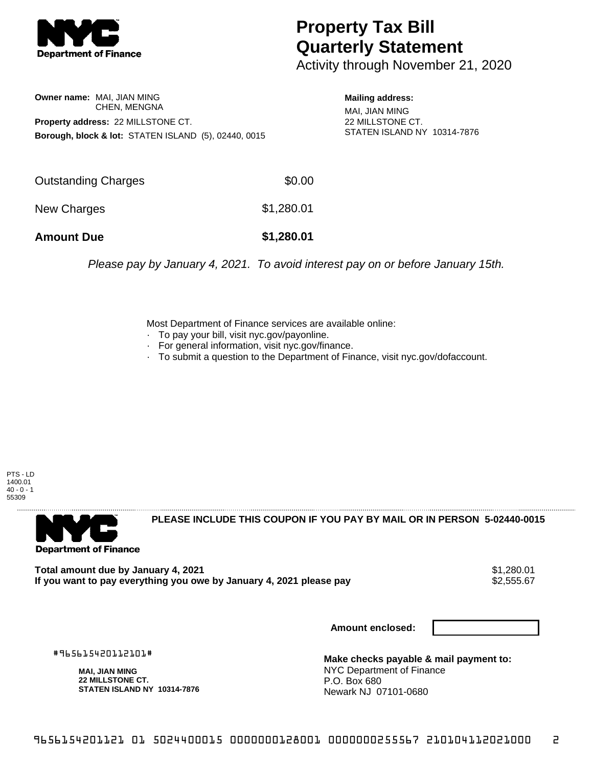

## **Property Tax Bill Quarterly Statement**

Activity through November 21, 2020

## **Owner name:** MAI, JIAN MING CHEN, MENGNA **Property address:** 22 MILLSTONE CT. **Borough, block & lot:** STATEN ISLAND (5), 02440, 0015

**Mailing address:** MAI, JIAN MING 22 MILLSTONE CT.

STATEN ISLAND NY 10314-7876

| <b>Amount Due</b>   | \$1,280.01 |
|---------------------|------------|
| New Charges         | \$1,280.01 |
| Outstanding Charges | \$0.00     |

Please pay by January 4, 2021. To avoid interest pay on or before January 15th.

Most Department of Finance services are available online:

- · To pay your bill, visit nyc.gov/payonline.
- For general information, visit nyc.gov/finance.
- · To submit a question to the Department of Finance, visit nyc.gov/dofaccount.

PTS - LD 1400.01  $40 - 0 - 1$ 55309



**PLEASE INCLUDE THIS COUPON IF YOU PAY BY MAIL OR IN PERSON 5-02440-0015** 

**Total amount due by January 4, 2021**<br>If you want to pay everything you owe by January 4, 2021 please pay **1988** \$2,555.67 If you want to pay everything you owe by January 4, 2021 please pay

**Amount enclosed:**

#965615420112101#

**MAI, JIAN MING 22 MILLSTONE CT. STATEN ISLAND NY 10314-7876**

**Make checks payable & mail payment to:** NYC Department of Finance P.O. Box 680 Newark NJ 07101-0680